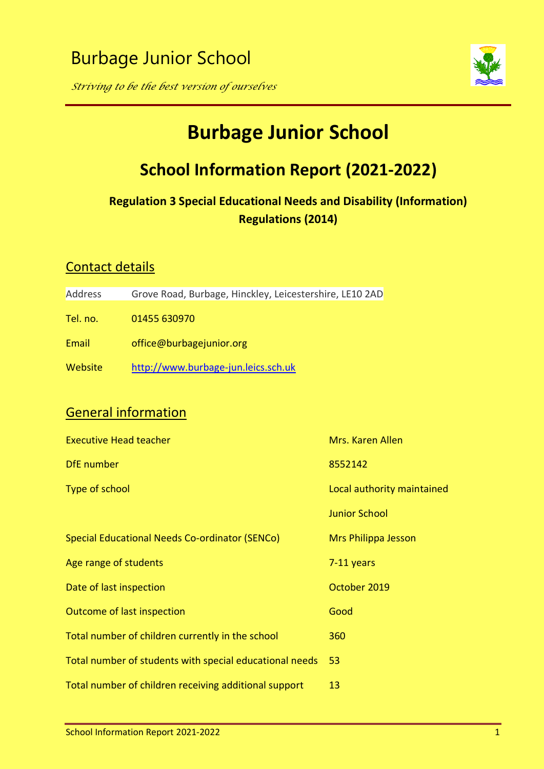*Striving to be the best version of ourselves*



# **Burbage Junior School**

## **School Information Report (2021-2022)**

### **Regulation 3 Special Educational Needs and Disability (Information) Regulations (2014)**

#### Contact details

- Address Grove Road, Burbage, Hinckley, Leicestershire, LE10 2AD
- Tel. no. 01455 630970
- Email office@burbagejunior.org
- Website [http://www.burbage-jun.leics.sch.uk](http://www.burbageinfants.org/)

#### General information

| <b>Executive Head teacher</b>                           | Mrs. Karen Allen           |
|---------------------------------------------------------|----------------------------|
| <b>DfE</b> number                                       | 8552142                    |
| Type of school                                          | Local authority maintained |
|                                                         | <b>Junior School</b>       |
| Special Educational Needs Co-ordinator (SENCo)          | Mrs Philippa Jesson        |
| Age range of students                                   | 7-11 years                 |
| Date of last inspection                                 | October 2019               |
| Outcome of last inspection                              | Good                       |
| Total number of children currently in the school        | 360                        |
| Total number of students with special educational needs | 53                         |
| Total number of children receiving additional support   | 13                         |
|                                                         |                            |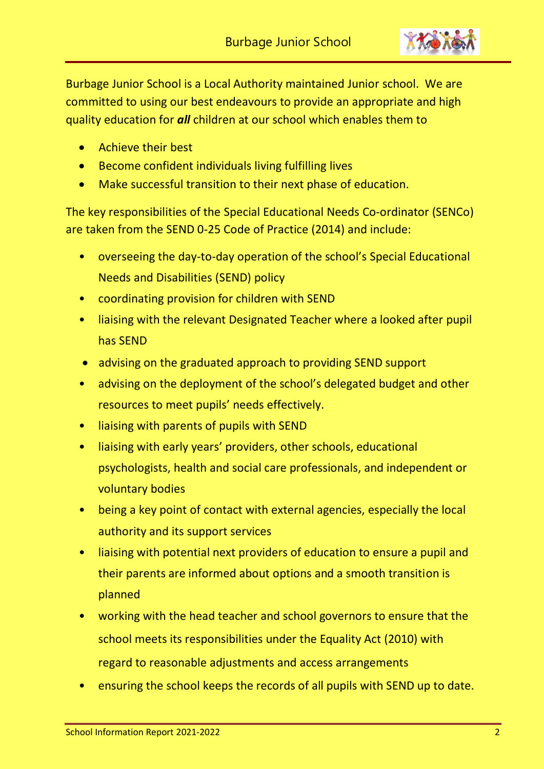

Burbage Junior School is a Local Authority maintained Junior school. We are committed to using our best endeavours to provide an appropriate and high quality education for *all* children at our school which enables them to

- Achieve their best
- Become confident individuals living fulfilling lives
- Make successful transition to their next phase of education.

The key responsibilities of the Special Educational Needs Co-ordinator (SENCo) are taken from the SEND 0-25 Code of Practice (2014) and include:

- overseeing the day-to-day operation of the school's Special Educational Needs and Disabilities (SEND) policy
- coordinating provision for children with SEND
- liaising with the relevant Designated Teacher where a looked after pupil has SEND
- advising on the graduated approach to providing SEND support
- advising on the deployment of the school's delegated budget and other resources to meet pupils' needs effectively.
- liaising with parents of pupils with SEND
- liaising with early years' providers, other schools, educational psychologists, health and social care professionals, and independent or voluntary bodies
- being a key point of contact with external agencies, especially the local authority and its support services
- liaising with potential next providers of education to ensure a pupil and their parents are informed about options and a smooth transition is planned
- working with the head teacher and school governors to ensure that the school meets its responsibilities under the Equality Act (2010) with regard to reasonable adjustments and access arrangements
- ensuring the school keeps the records of all pupils with SEND up to date.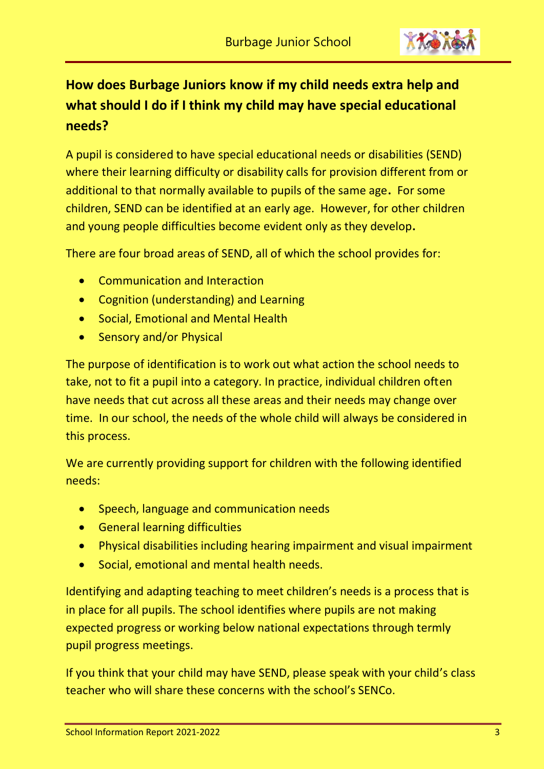

## **How does Burbage Juniors know if my child needs extra help and what should I do if I think my child may have special educational needs?**

A pupil is considered to have special educational needs or disabilities (SEND) where their learning difficulty or disability calls for provision different from or additional to that normally available to pupils of the same age**.** For some children, SEND can be identified at an early age. However, for other children and young people difficulties become evident only as they develop**.**

There are four broad areas of SEND, all of which the school provides for:

- Communication and Interaction
- Cognition (understanding) and Learning
- Social, Emotional and Mental Health
- Sensory and/or Physical

The purpose of identification is to work out what action the school needs to take, not to fit a pupil into a category. In practice, individual children often have needs that cut across all these areas and their needs may change over time. In our school, the needs of the whole child will always be considered in this process.

We are currently providing support for children with the following identified needs:

- Speech, language and communication needs
- General learning difficulties
- Physical disabilities including hearing impairment and visual impairment
- Social, emotional and mental health needs.

Identifying and adapting teaching to meet children's needs is a process that is in place for all pupils. The school identifies where pupils are not making expected progress or working below national expectations through termly pupil progress meetings.

If you think that your child may have SEND, please speak with your child's class teacher who will share these concerns with the school's SENCo.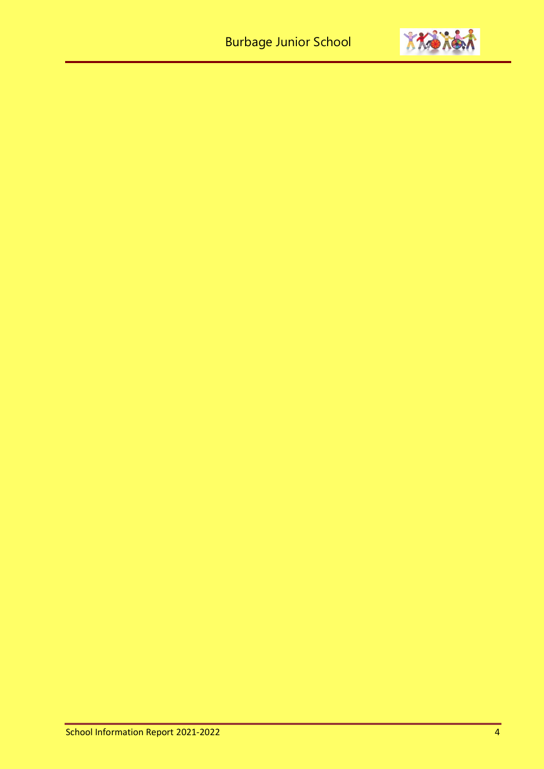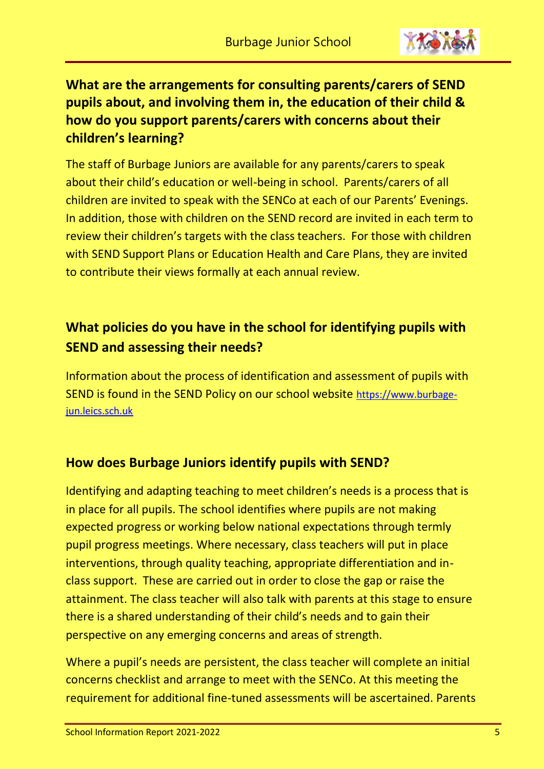

**What are the arrangements for consulting parents/carers of SEND pupils about, and involving them in, the education of their child & how do you support parents/carers with concerns about their children's learning?**

The staff of Burbage Juniors are available for any parents/carers to speak about their child's education or well-being in school. Parents/carers of all children are invited to speak with the SENCo at each of our Parents' Evenings. In addition, those with children on the SEND record are invited in each term to review their children's targets with the class teachers. For those with children with SEND Support Plans or Education Health and Care Plans, they are invited to contribute their views formally at each annual review.

## **What policies do you have in the school for identifying pupils with SEND and assessing their needs?**

Information about the process of identification and assessment of pupils with SEND is found in the SEND Policy on our school website [https://www.burbage](https://www.burbage-jun.leics.sch.uk/)[jun.leics.sch.uk](https://www.burbage-jun.leics.sch.uk/)

### **How does Burbage Juniors identify pupils with SEND?**

Identifying and adapting teaching to meet children's needs is a process that is in place for all pupils. The school identifies where pupils are not making expected progress or working below national expectations through termly pupil progress meetings. Where necessary, class teachers will put in place interventions, through quality teaching, appropriate differentiation and inclass support. These are carried out in order to close the gap or raise the attainment. The class teacher will also talk with parents at this stage to ensure there is a shared understanding of their child's needs and to gain their perspective on any emerging concerns and areas of strength.

Where a pupil's needs are persistent, the class teacher will complete an initial concerns checklist and arrange to meet with the SENCo. At this meeting the requirement for additional fine-tuned assessments will be ascertained. Parents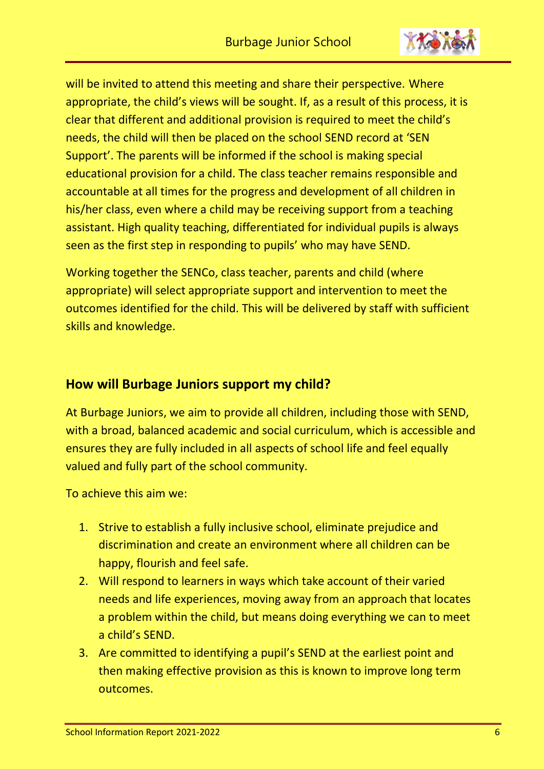

will be invited to attend this meeting and share their perspective. Where appropriate, the child's views will be sought. If, as a result of this process, it is clear that different and additional provision is required to meet the child's needs, the child will then be placed on the school SEND record at 'SEN Support'. The parents will be informed if the school is making special educational provision for a child. The class teacher remains responsible and accountable at all times for the progress and development of all children in his/her class, even where a child may be receiving support from a teaching assistant. High quality teaching, differentiated for individual pupils is always seen as the first step in responding to pupils' who may have SEND.

Working together the SENCo, class teacher, parents and child (where appropriate) will select appropriate support and intervention to meet the outcomes identified for the child. This will be delivered by staff with sufficient skills and knowledge.

#### **How will Burbage Juniors support my child?**

At Burbage Juniors, we aim to provide all children, including those with SEND, with a broad, balanced academic and social curriculum, which is accessible and ensures they are fully included in all aspects of school life and feel equally valued and fully part of the school community.

To achieve this aim we:

- 1. Strive to establish a fully inclusive school, eliminate prejudice and discrimination and create an environment where all children can be happy, flourish and feel safe.
- 2. Will respond to learners in ways which take account of their varied needs and life experiences, moving away from an approach that locates a problem within the child, but means doing everything we can to meet a child's SEND.
- 3. Are committed to identifying a pupil's SEND at the earliest point and then making effective provision as this is known to improve long term outcomes.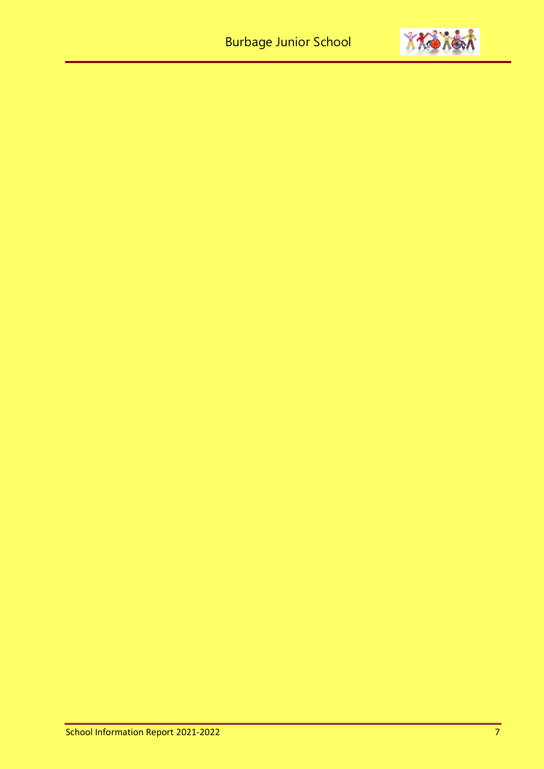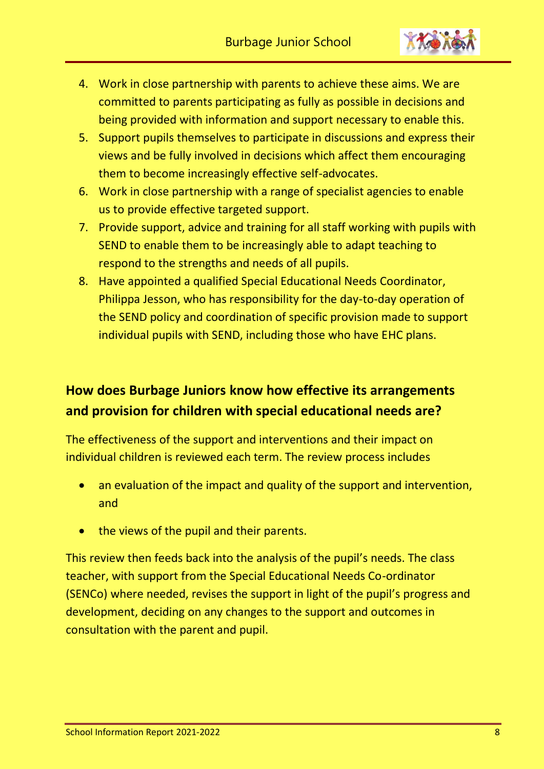

- 4. Work in close partnership with parents to achieve these aims. We are committed to parents participating as fully as possible in decisions and being provided with information and support necessary to enable this.
- 5. Support pupils themselves to participate in discussions and express their views and be fully involved in decisions which affect them encouraging them to become increasingly effective self-advocates.
- 6. Work in close partnership with a range of specialist agencies to enable us to provide effective targeted support.
- 7. Provide support, advice and training for all staff working with pupils with SEND to enable them to be increasingly able to adapt teaching to respond to the strengths and needs of all pupils.
- 8. Have appointed a qualified Special Educational Needs Coordinator, Philippa Jesson, who has responsibility for the day-to-day operation of the SEND policy and coordination of specific provision made to support individual pupils with SEND, including those who have EHC plans.

## **How does Burbage Juniors know how effective its arrangements and provision for children with special educational needs are?**

The effectiveness of the support and interventions and their impact on individual children is reviewed each term. The review process includes

- an evaluation of the impact and quality of the support and intervention, and
- the views of the pupil and their parents.

This review then feeds back into the analysis of the pupil's needs. The class teacher, with support from the Special Educational Needs Co-ordinator (SENCo) where needed, revises the support in light of the pupil's progress and development, deciding on any changes to the support and outcomes in consultation with the parent and pupil.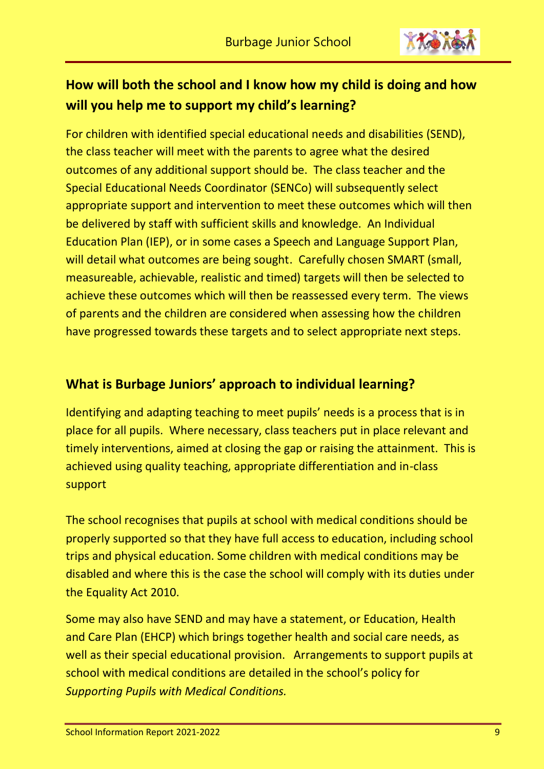

## **How will both the school and I know how my child is doing and how will you help me to support my child's learning?**

For children with identified special educational needs and disabilities (SEND), the class teacher will meet with the parents to agree what the desired outcomes of any additional support should be. The class teacher and the Special Educational Needs Coordinator (SENCo) will subsequently select appropriate support and intervention to meet these outcomes which will then be delivered by staff with sufficient skills and knowledge. An Individual Education Plan (IEP), or in some cases a Speech and Language Support Plan, will detail what outcomes are being sought. Carefully chosen SMART (small, measureable, achievable, realistic and timed) targets will then be selected to achieve these outcomes which will then be reassessed every term. The views of parents and the children are considered when assessing how the children have progressed towards these targets and to select appropriate next steps.

### **What is Burbage Juniors' approach to individual learning?**

Identifying and adapting teaching to meet pupils' needs is a process that is in place for all pupils. Where necessary, class teachers put in place relevant and timely interventions, aimed at closing the gap or raising the attainment. This is achieved using quality teaching, appropriate differentiation and in-class support

The school recognises that pupils at school with medical conditions should be properly supported so that they have full access to education, including school trips and physical education. Some children with medical conditions may be disabled and where this is the case the school will comply with its duties under the Equality Act 2010.

Some may also have SEND and may have a statement, or Education, Health and Care Plan (EHCP) which brings together health and social care needs, as well as their special educational provision. Arrangements to support pupils at school with medical conditions are detailed in the school's policy for *Supporting Pupils with Medical Conditions.*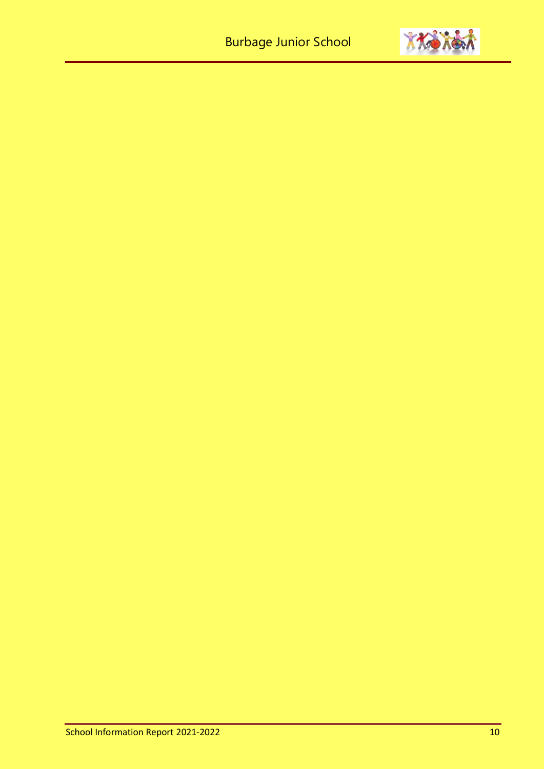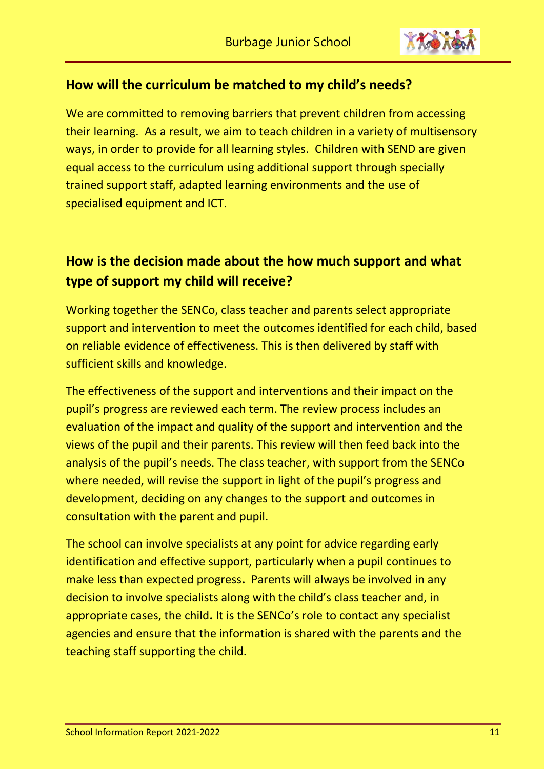

### **How will the curriculum be matched to my child's needs?**

We are committed to removing barriers that prevent children from accessing their learning. As a result, we aim to teach children in a variety of multisensory ways, in order to provide for all learning styles. Children with SEND are given equal access to the curriculum using additional support through specially trained support staff, adapted learning environments and the use of specialised equipment and ICT.

## **How is the decision made about the how much support and what type of support my child will receive?**

Working together the SENCo, class teacher and parents select appropriate support and intervention to meet the outcomes identified for each child, based on reliable evidence of effectiveness. This is then delivered by staff with sufficient skills and knowledge.

The effectiveness of the support and interventions and their impact on the pupil's progress are reviewed each term. The review process includes an evaluation of the impact and quality of the support and intervention and the views of the pupil and their parents. This review will then feed back into the analysis of the pupil's needs. The class teacher, with support from the SENCo where needed, will revise the support in light of the pupil's progress and development, deciding on any changes to the support and outcomes in consultation with the parent and pupil.

The school can involve specialists at any point for advice regarding early identification and effective support, particularly when a pupil continues to make less than expected progress**.** Parents will always be involved in any decision to involve specialists along with the child's class teacher and, in appropriate cases, the child**.** It is the SENCo's role to contact any specialist agencies and ensure that the information is shared with the parents and the teaching staff supporting the child.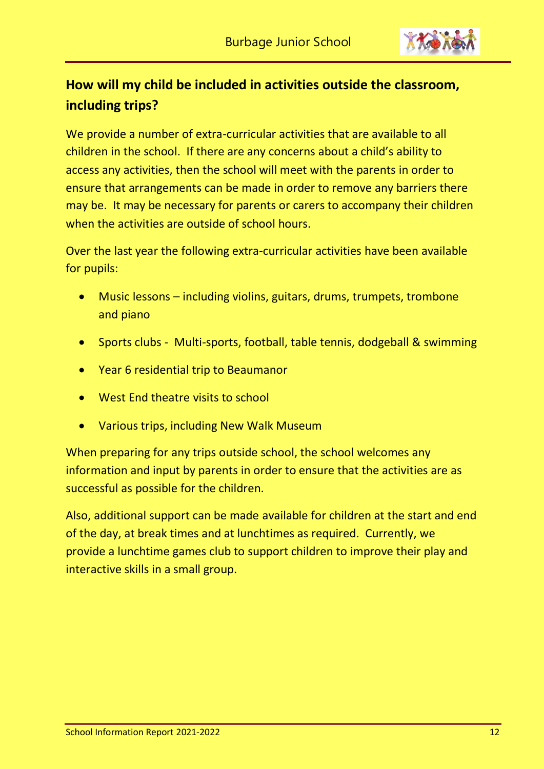

## **How will my child be included in activities outside the classroom, including trips?**

We provide a number of extra-curricular activities that are available to all children in the school. If there are any concerns about a child's ability to access any activities, then the school will meet with the parents in order to ensure that arrangements can be made in order to remove any barriers there may be. It may be necessary for parents or carers to accompany their children when the activities are outside of school hours.

Over the last year the following extra-curricular activities have been available for pupils:

- Music lessons including violins, guitars, drums, trumpets, trombone and piano
- Sports clubs Multi-sports, football, table tennis, dodgeball & swimming
- Year 6 residential trip to Beaumanor
- West End theatre visits to school
- Various trips, including New Walk Museum

When preparing for any trips outside school, the school welcomes any information and input by parents in order to ensure that the activities are as successful as possible for the children.

Also, additional support can be made available for children at the start and end of the day, at break times and at lunchtimes as required. Currently, we provide a lunchtime games club to support children to improve their play and interactive skills in a small group.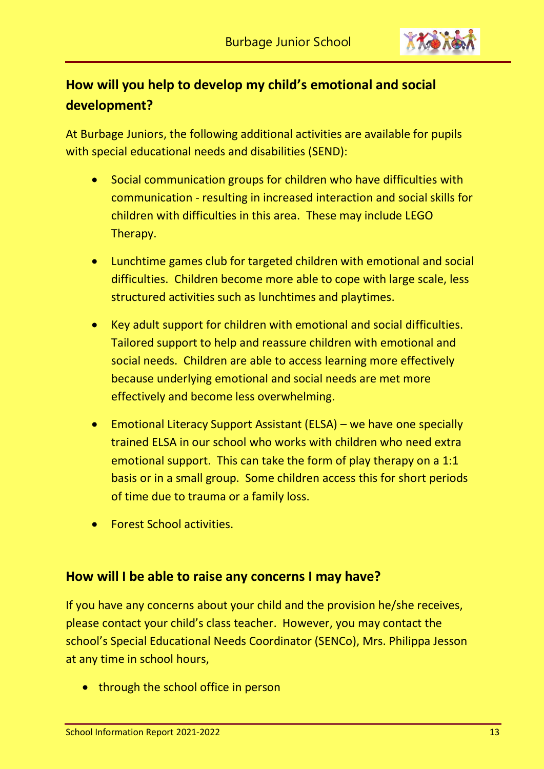

## **How will you help to develop my child's emotional and social development?**

At Burbage Juniors, the following additional activities are available for pupils with special educational needs and disabilities (SEND):

- Social communication groups for children who have difficulties with communication - resulting in increased interaction and social skills for children with difficulties in this area. These may include LEGO Therapy.
- Lunchtime games club for targeted children with emotional and social difficulties. Children become more able to cope with large scale, less structured activities such as lunchtimes and playtimes.
- Key adult support for children with emotional and social difficulties. Tailored support to help and reassure children with emotional and social needs. Children are able to access learning more effectively because underlying emotional and social needs are met more effectively and become less overwhelming.
- Emotional Literacy Support Assistant (ELSA) we have one specially trained ELSA in our school who works with children who need extra emotional support. This can take the form of play therapy on a 1:1 basis or in a small group. Some children access this for short periods of time due to trauma or a family loss.
- Forest School activities.

#### **How will I be able to raise any concerns I may have?**

If you have any concerns about your child and the provision he/she receives, please contact your child's class teacher. However, you may contact the school's Special Educational Needs Coordinator (SENCo), Mrs. Philippa Jesson at any time in school hours,

• through the school office in person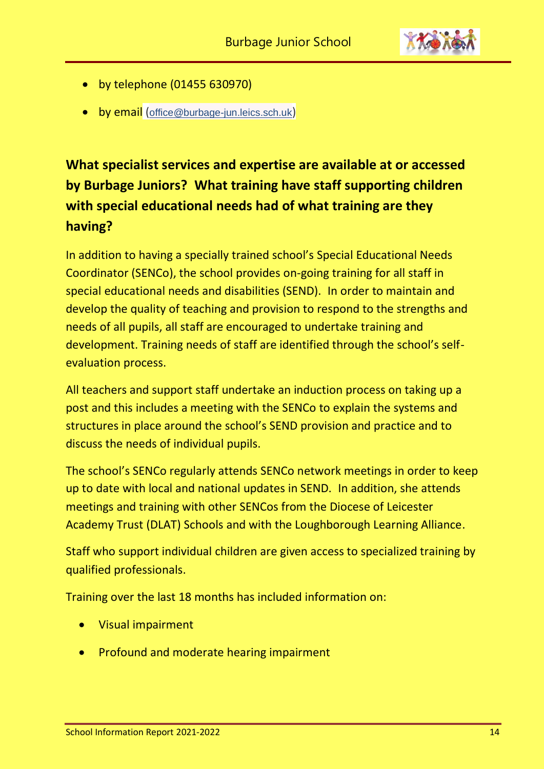

- by telephone (01455 630970)
- **by email (office @burbage-jun.leics.sch.uk)**

## **What specialist services and expertise are available at or accessed by Burbage Juniors? What training have staff supporting children with special educational needs had of what training are they having?**

In addition to having a specially trained school's Special Educational Needs Coordinator (SENCo), the school provides on-going training for all staff in special educational needs and disabilities (SEND). In order to maintain and develop the quality of teaching and provision to respond to the strengths and needs of all pupils, all staff are encouraged to undertake training and development. Training needs of staff are identified through the school's selfevaluation process.

All teachers and support staff undertake an induction process on taking up a post and this includes a meeting with the SENCo to explain the systems and structures in place around the school's SEND provision and practice and to discuss the needs of individual pupils.

The school's SENCo regularly attends SENCo network meetings in order to keep up to date with local and national updates in SEND. In addition, she attends meetings and training with other SENCos from the Diocese of Leicester Academy Trust (DLAT) Schools and with the Loughborough Learning Alliance.

Staff who support individual children are given access to specialized training by qualified professionals.

Training over the last 18 months has included information on:

- Visual impairment
- Profound and moderate hearing impairment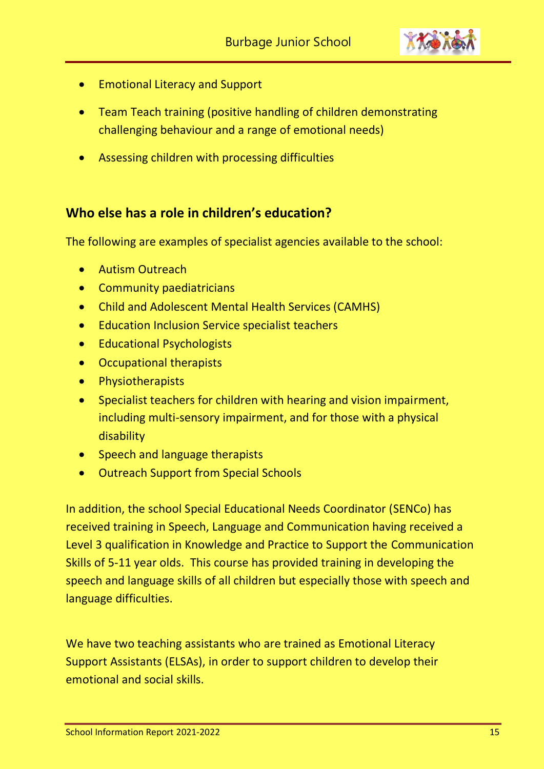

- Emotional Literacy and Support
- Team Teach training (positive handling of children demonstrating challenging behaviour and a range of emotional needs)
- Assessing children with processing difficulties

### **Who else has a role in children's education?**

The following are examples of specialist agencies available to the school:

- Autism Outreach
- Community paediatricians
- Child and Adolescent Mental Health Services (CAMHS)
- Education Inclusion Service specialist teachers
- Educational Psychologists
- Occupational therapists
- Physiotherapists
- Specialist teachers for children with hearing and vision impairment, including multi-sensory impairment, and for those with a physical disability
- Speech and language therapists
- Outreach Support from Special Schools

In addition, the school Special Educational Needs Coordinator (SENCo) has received training in Speech, Language and Communication having received a Level 3 qualification in Knowledge and Practice to Support the Communication Skills of 5-11 year olds. This course has provided training in developing the speech and language skills of all children but especially those with speech and language difficulties.

We have two teaching assistants who are trained as Emotional Literacy Support Assistants (ELSAs), in order to support children to develop their emotional and social skills.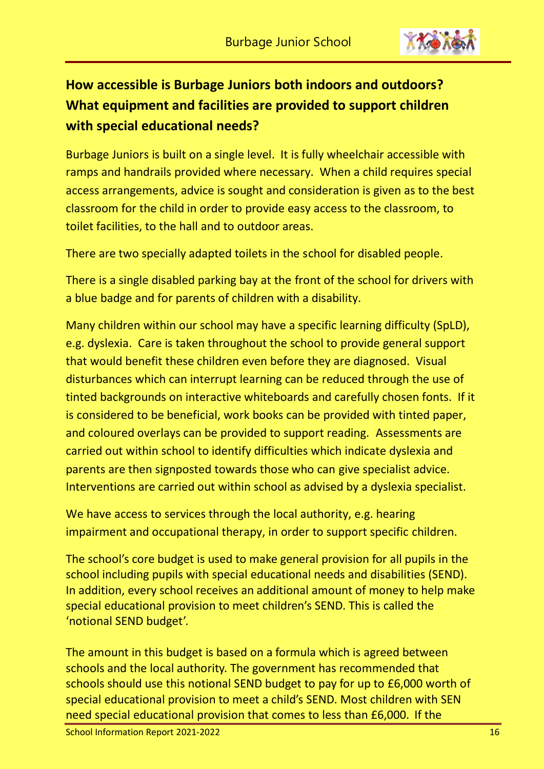

## **How accessible is Burbage Juniors both indoors and outdoors? What equipment and facilities are provided to support children with special educational needs?**

Burbage Juniors is built on a single level. It is fully wheelchair accessible with ramps and handrails provided where necessary. When a child requires special access arrangements, advice is sought and consideration is given as to the best classroom for the child in order to provide easy access to the classroom, to toilet facilities, to the hall and to outdoor areas.

There are two specially adapted toilets in the school for disabled people.

There is a single disabled parking bay at the front of the school for drivers with a blue badge and for parents of children with a disability.

Many children within our school may have a specific learning difficulty (SpLD), e.g. dyslexia. Care is taken throughout the school to provide general support that would benefit these children even before they are diagnosed. Visual disturbances which can interrupt learning can be reduced through the use of tinted backgrounds on interactive whiteboards and carefully chosen fonts. If it is considered to be beneficial, work books can be provided with tinted paper, and coloured overlays can be provided to support reading. Assessments are carried out within school to identify difficulties which indicate dyslexia and parents are then signposted towards those who can give specialist advice. Interventions are carried out within school as advised by a dyslexia specialist.

We have access to services through the local authority, e.g. hearing impairment and occupational therapy, in order to support specific children.

The school's core budget is used to make general provision for all pupils in the school including pupils with special educational needs and disabilities (SEND). In addition, every school receives an additional amount of money to help make special educational provision to meet children's SEND. This is called the 'notional SEND budget'.

The amount in this budget is based on a formula which is agreed between schools and the local authority. The government has recommended that schools should use this notional SEND budget to pay for up to £6,000 worth of special educational provision to meet a child's SEND. Most children with SEN need special educational provision that comes to less than £6,000. If the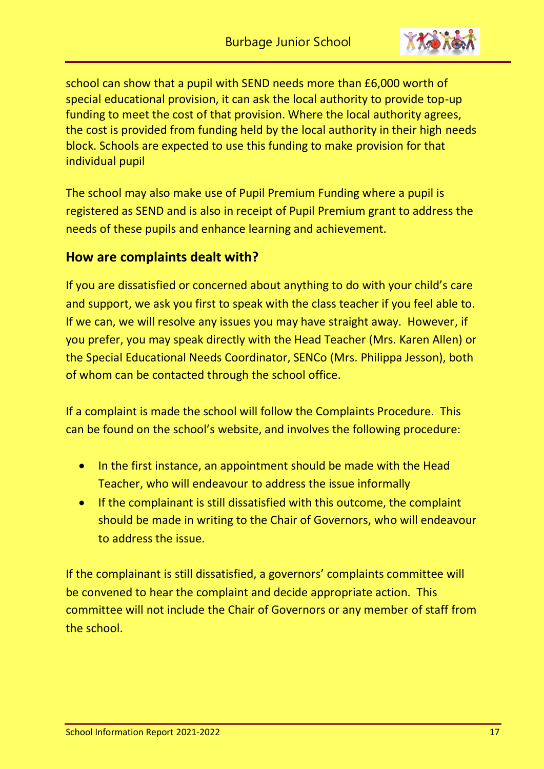

school can show that a pupil with SEND needs more than £6,000 worth of special educational provision, it can ask the local authority to provide top-up funding to meet the cost of that provision. Where the local authority agrees, the cost is provided from funding held by the local authority in their high needs block. Schools are expected to use this funding to make provision for that individual pupil

The school may also make use of Pupil Premium Funding where a pupil is registered as SEND and is also in receipt of Pupil Premium grant to address the needs of these pupils and enhance learning and achievement.

#### **How are complaints dealt with?**

If you are dissatisfied or concerned about anything to do with your child's care and support, we ask you first to speak with the class teacher if you feel able to. If we can, we will resolve any issues you may have straight away. However, if you prefer, you may speak directly with the Head Teacher (Mrs. Karen Allen) or the Special Educational Needs Coordinator, SENCo (Mrs. Philippa Jesson), both of whom can be contacted through the school office.

If a complaint is made the school will follow the Complaints Procedure. This can be found on the school's website, and involves the following procedure:

- In the first instance, an appointment should be made with the Head Teacher, who will endeavour to address the issue informally
- If the complainant is still dissatisfied with this outcome, the complaint should be made in writing to the Chair of Governors, who will endeavour to address the issue.

If the complainant is still dissatisfied, a governors' complaints committee will be convened to hear the complaint and decide appropriate action. This committee will not include the Chair of Governors or any member of staff from the school.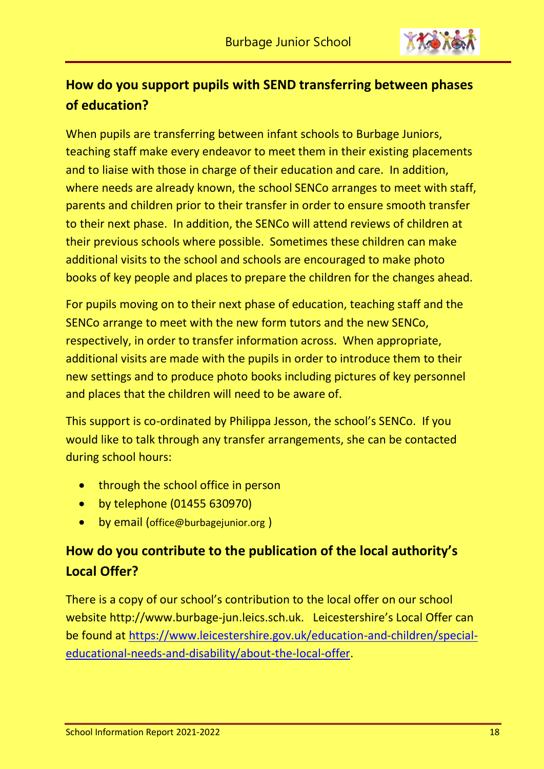

### **How do you support pupils with SEND transferring between phases of education?**

When pupils are transferring between infant schools to Burbage Juniors, teaching staff make every endeavor to meet them in their existing placements and to liaise with those in charge of their education and care. In addition, where needs are already known, the school SENCo arranges to meet with staff, parents and children prior to their transfer in order to ensure smooth transfer to their next phase. In addition, the SENCo will attend reviews of children at their previous schools where possible. Sometimes these children can make additional visits to the school and schools are encouraged to make photo books of key people and places to prepare the children for the changes ahead.

For pupils moving on to their next phase of education, teaching staff and the SENCo arrange to meet with the new form tutors and the new SENCo, respectively, in order to transfer information across. When appropriate, additional visits are made with the pupils in order to introduce them to their new settings and to produce photo books including pictures of key personnel and places that the children will need to be aware of.

This support is co-ordinated by Philippa Jesson, the school's SENCo. If you would like to talk through any transfer arrangements, she can be contacted during school hours:

- through the school office in person
- by telephone (01455 630970)
- by email (office@burbagejunior.org )

## **How do you contribute to the publication of the local authority's Local Offer?**

There is a copy of our school's contribution to the local offer on our school website http://www[.burbage-jun.leics.sch.uk](https://www.burbage-jun.leics.sch.uk/). Leicestershire's Local Offer can be found at [https://www.leicestershire.gov.uk/education-and-children/special](https://www.leicestershire.gov.uk/education-and-children/special-educational-needs-and-disability/about-the-local-offer)[educational-needs-and-disability/about-the-local-offer.](https://www.leicestershire.gov.uk/education-and-children/special-educational-needs-and-disability/about-the-local-offer)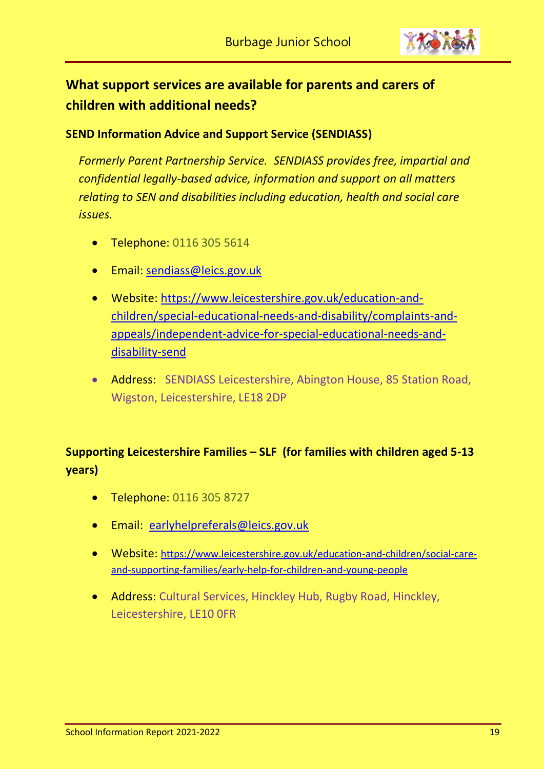

## **What support services are available for parents and carers of children with additional needs?**

#### **SEND Information Advice and Support Service (SENDIASS)**

*Formerly Parent Partnership Service. SENDIASS provides free, impartial and confidential legally-based advice, information and support on all matters relating to SEN and disabilities including education, health and social care issues.*

- Telephone: 0116 305 5614
- Email: [sendiass@leics.gov.uk](mailto:sendiass@leics.gov.uk)
- Website: [https://www.leicestershire.gov.uk/education-and](https://www.leicestershire.gov.uk/education-and-children/special-educational-needs-and-disability/complaints-and-appeals/independent-advice-for-special-educational-needs-and-disability-send)[children/special-educational-needs-and-disability/complaints-and](https://www.leicestershire.gov.uk/education-and-children/special-educational-needs-and-disability/complaints-and-appeals/independent-advice-for-special-educational-needs-and-disability-send)[appeals/independent-advice-for-special-educational-needs-and](https://www.leicestershire.gov.uk/education-and-children/special-educational-needs-and-disability/complaints-and-appeals/independent-advice-for-special-educational-needs-and-disability-send)[disability-send](https://www.leicestershire.gov.uk/education-and-children/special-educational-needs-and-disability/complaints-and-appeals/independent-advice-for-special-educational-needs-and-disability-send)
- Address: SENDIASS Leicestershire, Abington House, 85 Station Road, Wigston, Leicestershire, LE18 2DP

### **Supporting Leicestershire Families – SLF (for families with children aged 5-13 years)**

- Telephone: 0116 305 8727
- Email: [earlyhelpreferals@leics.gov.uk](mailto:earlyhelpreferals@leics.gov.uk)
- Website: [https://www.leicestershire.gov.uk/education-and-children/social-care](https://www.leicestershire.gov.uk/education-and-children/social-care-and-supporting-families/early-help-for-children-and-young-people)[and-supporting-families/early-help-for-children-and-young-people](https://www.leicestershire.gov.uk/education-and-children/social-care-and-supporting-families/early-help-for-children-and-young-people)
- Address: Cultural Services, Hinckley Hub, Rugby Road, Hinckley, Leicestershire, LE10 0FR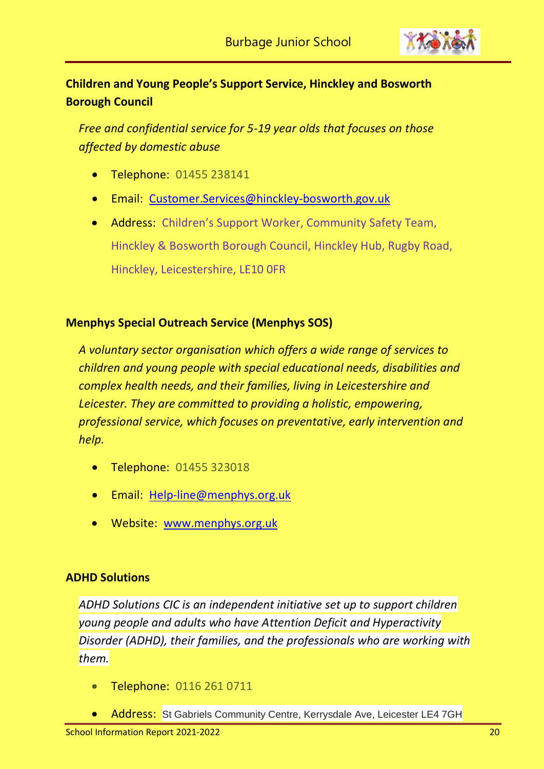

### **Children and Young People's Support Service, Hinckley and Bosworth Borough Council**

*Free and confidential service for 5-19 year olds that focuses on those affected by domestic abuse*

- Telephone: 01455 238141
- Email: [Customer.Services@hinckley-bosworth.gov.uk](mailto:Customer.Services@hinckley-bosworth.gov.uk)
- Address: Children's Support Worker, Community Safety Team, Hinckley & Bosworth Borough Council, Hinckley Hub, Rugby Road, Hinckley, Leicestershire, LE10 0FR

#### **Menphys Special Outreach Service (Menphys SOS)**

*A voluntary sector organisation which offers a wide range of services to children and young people with special educational needs, disabilities and complex health needs, and their families, living in Leicestershire and Leicester. They are committed to providing a holistic, empowering, professional service, which focuses on preventative, early intervention and help.*

- Telephone: 01455 323018
- Email: [Help-line@menphys.org.uk](mailto:Help-line@menphys.org.uk)
- Website: [www.menphys.org.uk](http://www.menphys.org.uk/)

#### **ADHD Solutions**

*ADHD Solutions CIC is an independent initiative set up to support children young people and adults who have Attention Deficit and Hyperactivity Disorder (ADHD), their families, and the professionals who are working with them.*

- Telephone: 0116 261 0711
- Address: St Gabriels Community Centre, Kerrysdale Ave, Leicester LE4 7GH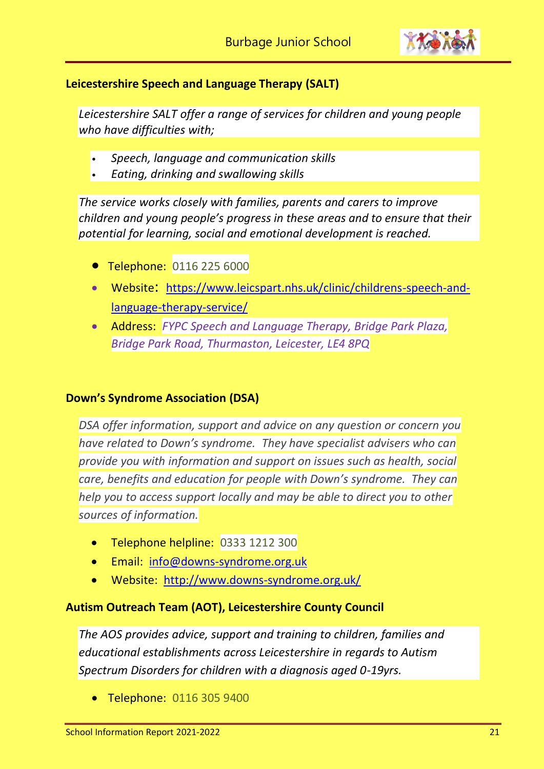

#### **Leicestershire Speech and Language Therapy (SALT)**

*Leicestershire SALT offer a range of services for children and young people who have difficulties with;*

- *Speech, language and communication skills*
- *Eating, drinking and swallowing skills*

*The service works closely with families, parents and carers to improve children and young people's progress in these areas and to ensure that their potential for learning, social and emotional development is reached.*

- **Telephone: 0116 225 6000**
- Website: [https://www.leicspart.nhs.uk/clinic/childrens-speech-and](https://www.leicspart.nhs.uk/clinic/childrens-speech-and-language-therapy-service/)[language-therapy-service/](https://www.leicspart.nhs.uk/clinic/childrens-speech-and-language-therapy-service/)
- Address: *FYPC Speech and Language Therapy, Bridge Park Plaza, Bridge Park Road, Thurmaston, Leicester, LE4 8PQ*

#### **Down's Syndrome Association (DSA)**

*DSA offer information, support and advice on any question or concern you have related to Down's syndrome. They have specialist advisers who can provide you with information and support on issues such as health, social care, benefits and education for people with Down's syndrome. They can help you to access support locally and may be able to direct you to other sources of information.*

- Telephone helpline: 0333 1212 300
- Email: [info@downs-syndrome.org.uk](mailto:info@downs-syndrome.org.uk)
- Website: <http://www.downs-syndrome.org.uk/>

#### **Autism Outreach Team (AOT), Leicestershire County Council**

*The AOS provides advice, support and training to children, families and educational establishments across Leicestershire in regards to Autism Spectrum Disorders for children with a diagnosis aged 0-19yrs.*

• Telephone: 0116 305 9400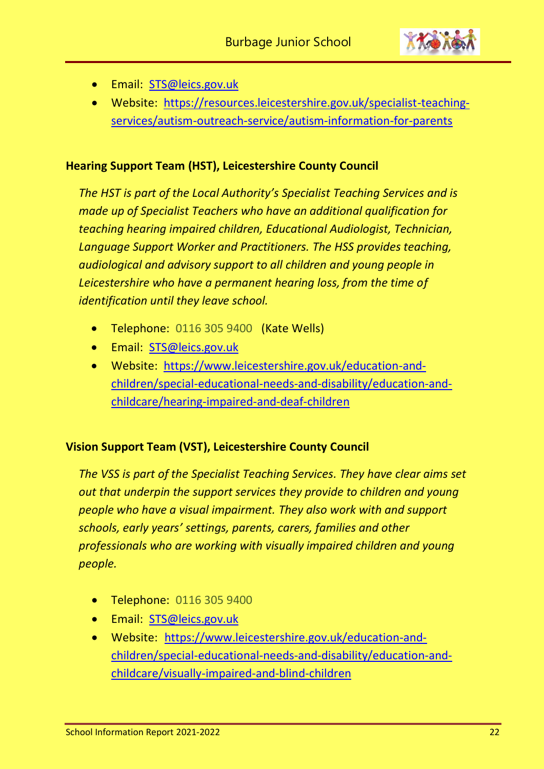

- Email: [STS@leics.gov.uk](mailto:STS@leics.gov.uk)
- Website: [https://resources.leicestershire.gov.uk/specialist-teaching](https://resources.leicestershire.gov.uk/specialist-teaching-services/autism-outreach-service/autism-information-for-parents)[services/autism-outreach-service/autism-information-for-parents](https://resources.leicestershire.gov.uk/specialist-teaching-services/autism-outreach-service/autism-information-for-parents)

#### **Hearing Support Team (HST), Leicestershire County Council**

*The HST is part of the Local Authority's [Specialist Teaching Services](http://www.leics.gov.uk/index/education/going_to_school/special_education_needs/specialist_teaching_service.htm) and is made up of Specialist Teachers who have an additional qualification for teaching hearing impaired children, Educational Audiologist, Technician, Language Support Worker and Practitioners. The HSS provides teaching, audiological and advisory support to all children and young people in Leicestershire who have a permanent hearing loss, from the time of identification until they leave school.*

- Telephone: 0116 305 9400 (Kate Wells)
- Email: [STS@leics.gov.uk](mailto:STS@leics.gov.uk)
- Website: [https://www.leicestershire.gov.uk/education-and](https://www.leicestershire.gov.uk/education-and-children/special-educational-needs-and-disability/education-and-childcare/hearing-impaired-and-deaf-children)[children/special-educational-needs-and-disability/education-and](https://www.leicestershire.gov.uk/education-and-children/special-educational-needs-and-disability/education-and-childcare/hearing-impaired-and-deaf-children)[childcare/hearing-impaired-and-deaf-children](https://www.leicestershire.gov.uk/education-and-children/special-educational-needs-and-disability/education-and-childcare/hearing-impaired-and-deaf-children)

#### **Vision Support Team (VST), Leicestershire County Council**

*The VSS is part of the [Specialist Teaching Services.](http://www.leics.gov.uk/index/education/going_to_school/special_education_needs/specialist_teaching_service.htm) They have [clear aims](http://www.leics.gov.uk/index/education/going_to_school/special_education_needs/specialist_teaching_service/service_teams/visual_impairment_team/visual_impairment_aims.htm) set out that underpin the support services they provide to children and young people who have a visual impairment. They also work with and support schools, early years' settings, parents, carers, families and other professionals who are working with visually impaired children and young people.*

- Telephone: 0116 305 9400
- Email: [STS@leics.gov.uk](mailto:STS@leics.gov.uk)
- Website: [https://www.leicestershire.gov.uk/education-and](https://www.leicestershire.gov.uk/education-and-children/special-educational-needs-and-disability/education-and-childcare/visually-impaired-and-blind-children)[children/special-educational-needs-and-disability/education-and](https://www.leicestershire.gov.uk/education-and-children/special-educational-needs-and-disability/education-and-childcare/visually-impaired-and-blind-children)[childcare/visually-impaired-and-blind-children](https://www.leicestershire.gov.uk/education-and-children/special-educational-needs-and-disability/education-and-childcare/visually-impaired-and-blind-children)